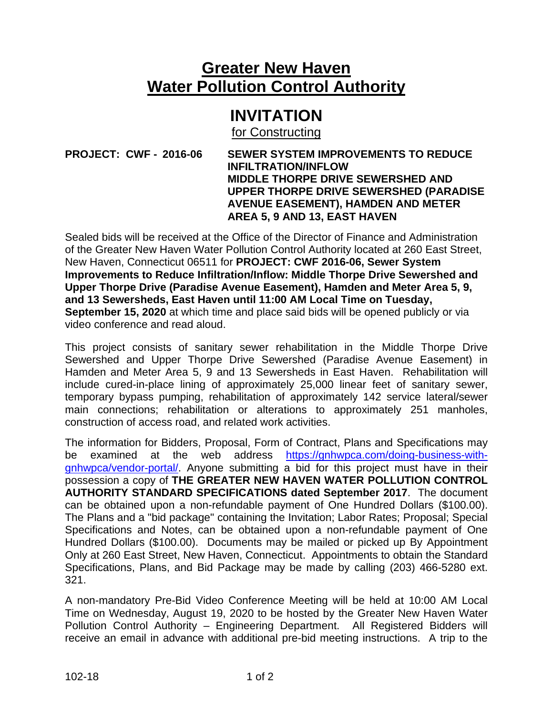## **Greater New Haven Water Pollution Control Authority**

## **INVITATION**

for Constructing

## **PROJECT: CWF - 2016-06 SEWER SYSTEM IMPROVEMENTS TO REDUCE INFILTRATION/INFLOW MIDDLE THORPE DRIVE SEWERSHED AND UPPER THORPE DRIVE SEWERSHED (PARADISE AVENUE EASEMENT), HAMDEN AND METER AREA 5, 9 AND 13, EAST HAVEN**

Sealed bids will be received at the Office of the Director of Finance and Administration of the Greater New Haven Water Pollution Control Authority located at 260 East Street, New Haven, Connecticut 06511 for **PROJECT: CWF 2016-06, Sewer System Improvements to Reduce Infiltration/Inflow: Middle Thorpe Drive Sewershed and Upper Thorpe Drive (Paradise Avenue Easement), Hamden and Meter Area 5, 9, and 13 Sewersheds, East Haven until 11:00 AM Local Time on Tuesday, September 15, 2020** at which time and place said bids will be opened publicly or via video conference and read aloud.

This project consists of sanitary sewer rehabilitation in the Middle Thorpe Drive Sewershed and Upper Thorpe Drive Sewershed (Paradise Avenue Easement) in Hamden and Meter Area 5, 9 and 13 Sewersheds in East Haven. Rehabilitation will include cured-in-place lining of approximately 25,000 linear feet of sanitary sewer, temporary bypass pumping, rehabilitation of approximately 142 service lateral/sewer main connections; rehabilitation or alterations to approximately 251 manholes, construction of access road, and related work activities.

The information for Bidders, Proposal, Form of Contract, Plans and Specifications may be examined at the web address [https://gnhwpca.com/doing-business-with](https://gnhwpca.com/doing-business-with-gnhwpca/vendor-portal/)[gnhwpca/vendor-portal/.](https://gnhwpca.com/doing-business-with-gnhwpca/vendor-portal/) Anyone submitting a bid for this project must have in their possession a copy of **THE GREATER NEW HAVEN WATER POLLUTION CONTROL AUTHORITY STANDARD SPECIFICATIONS dated September 2017**. The document can be obtained upon a non-refundable payment of One Hundred Dollars (\$100.00). The Plans and a "bid package" containing the Invitation; Labor Rates; Proposal; Special Specifications and Notes, can be obtained upon a non-refundable payment of One Hundred Dollars (\$100.00). Documents may be mailed or picked up By Appointment Only at 260 East Street, New Haven, Connecticut. Appointments to obtain the Standard Specifications, Plans, and Bid Package may be made by calling (203) 466-5280 ext. 321.

A non-mandatory Pre-Bid Video Conference Meeting will be held at 10:00 AM Local Time on Wednesday, August 19, 2020 to be hosted by the Greater New Haven Water Pollution Control Authority – Engineering Department. All Registered Bidders will receive an email in advance with additional pre-bid meeting instructions. A trip to the